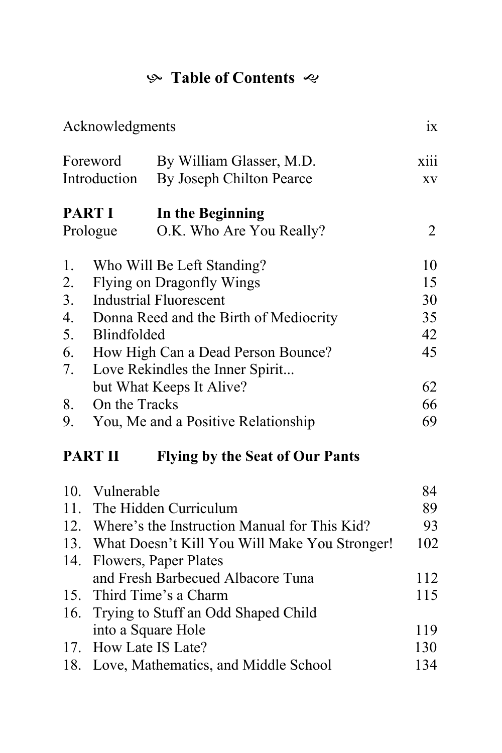## K **Table of Contents**

| Acknowledgments                                          |                                        |                                                   |                |  |  |  |
|----------------------------------------------------------|----------------------------------------|---------------------------------------------------|----------------|--|--|--|
| Foreword                                                 |                                        | By William Glasser, M.D.                          | xiii           |  |  |  |
| Introduction                                             |                                        | By Joseph Chilton Pearce                          | XV             |  |  |  |
| <b>PART I</b>                                            |                                        | In the Beginning                                  |                |  |  |  |
| Prologue                                                 |                                        | O.K. Who Are You Really?                          | $\overline{2}$ |  |  |  |
| 1.                                                       |                                        | Who Will Be Left Standing?                        | 10             |  |  |  |
| 2.                                                       | <b>Flying on Dragonfly Wings</b>       |                                                   |                |  |  |  |
| 3.                                                       | <b>Industrial Fluorescent</b>          |                                                   |                |  |  |  |
| $\overline{4}$ .                                         | Donna Reed and the Birth of Mediocrity |                                                   |                |  |  |  |
| 5.                                                       | <b>Blindfolded</b>                     |                                                   |                |  |  |  |
| 6.                                                       | How High Can a Dead Person Bounce?     |                                                   |                |  |  |  |
| 7.                                                       | Love Rekindles the Inner Spirit        |                                                   |                |  |  |  |
|                                                          |                                        | but What Keeps It Alive?                          | 62             |  |  |  |
| 8.                                                       | On the Tracks                          |                                                   | 66             |  |  |  |
| 9.                                                       | You, Me and a Positive Relationship    |                                                   |                |  |  |  |
| <b>PART II</b><br><b>Flying by the Seat of Our Pants</b> |                                        |                                                   |                |  |  |  |
|                                                          | 10. Vulnerable                         |                                                   | 84             |  |  |  |
|                                                          |                                        | 11. The Hidden Curriculum                         | 89             |  |  |  |
|                                                          |                                        | 12. Where's the Instruction Manual for This Kid?  | 93             |  |  |  |
|                                                          |                                        | 13. What Doesn't Kill You Will Make You Stronger! | 102            |  |  |  |
| 14.                                                      |                                        | Flowers, Paper Plates                             |                |  |  |  |
|                                                          |                                        | and Fresh Barbecued Albacore Tuna                 | 112            |  |  |  |
|                                                          |                                        | 15. Third Time's a Charm                          | 115            |  |  |  |
| 16.                                                      |                                        | Trying to Stuff an Odd Shaped Child               |                |  |  |  |
|                                                          | into a Square Hole                     |                                                   | 119            |  |  |  |
| 17.                                                      | How Late IS Late?                      |                                                   | 130            |  |  |  |
| 18.                                                      |                                        | Love, Mathematics, and Middle School              | 134            |  |  |  |